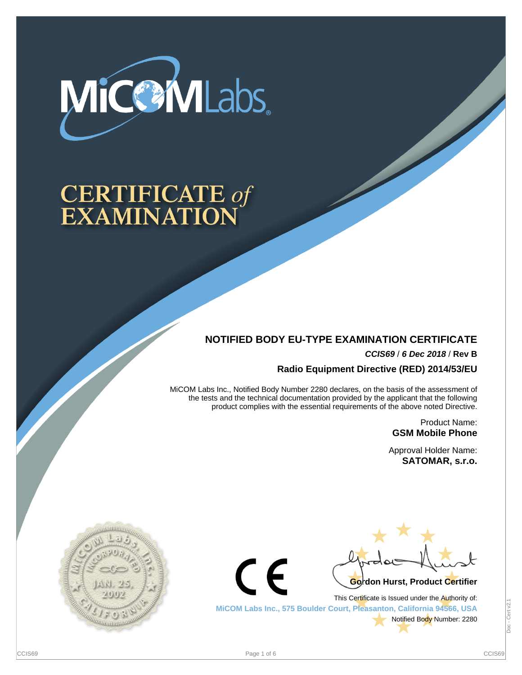

# **CERTIFICATE of<br>EXAMINATION**

## **NOTIFIED BODY EU-TYPE EXAMINATION CERTIFICATE**

**CCIS69** / **6 Dec 2018** / **Rev B**

**Radio Equipment Directive (RED) 2014/53/EU**

MiCOM Labs Inc., Notified Body Number 2280 declares, on the basis of the assessment of the tests and the technical documentation provided by the applicant that the following product complies with the essential requirements of the above noted Directive.

> Product Name: **GSM Mobile Phone**

Approval Holder Name: **SATOMAR, s.r.o.**





This Certificate is Issued under the Authority of: **MiCOM Labs Inc., 575 Boulder Court, Pleasanton, California 94566, USA** Notified Body Number: 2280

Doc - Cert v2.1Cert v2. Doc-

 $\epsilon$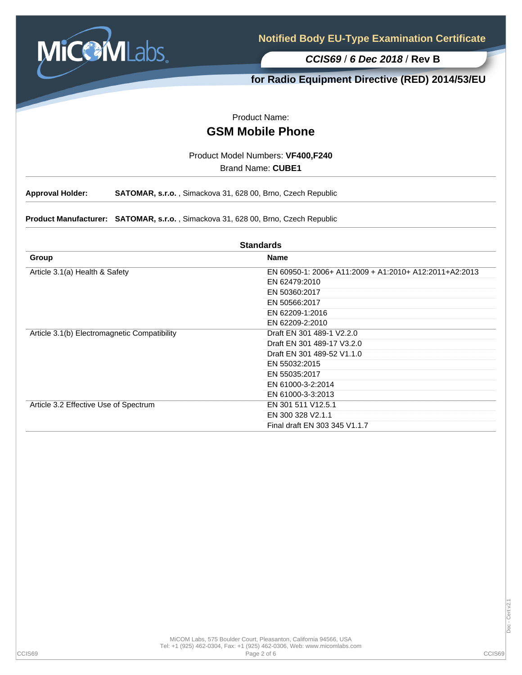

**for Radio Equipment Directive (RED) 2014/53/EU**

Product Name:

# **GSM Mobile Phone**

Product Model Numbers: **VF400,F240**

Brand Name: **CUBE1**

**Approval Holder: SATOMAR, s.r.o.** , Simackova 31, 628 00, Brno, Czech Republic

**Product Manufacturer: SATOMAR, s.r.o.** , Simackova 31, 628 00, Brno, Czech Republic

| <b>Standards</b>                             |                                                        |  |  |  |
|----------------------------------------------|--------------------------------------------------------|--|--|--|
| Group                                        | <b>Name</b>                                            |  |  |  |
| Article 3.1(a) Health & Safety               | EN 60950-1: 2006+ A11:2009 + A1:2010+ A12:2011+A2:2013 |  |  |  |
|                                              | EN 62479:2010                                          |  |  |  |
|                                              | EN 50360:2017                                          |  |  |  |
|                                              | EN 50566:2017                                          |  |  |  |
|                                              | EN 62209-1:2016                                        |  |  |  |
|                                              | EN 62209-2:2010                                        |  |  |  |
| Article 3.1(b) Electromagnetic Compatibility | Draft EN 301 489-1 V2.2.0                              |  |  |  |
|                                              | Draft EN 301 489-17 V3.2.0                             |  |  |  |
|                                              | Draft EN 301 489-52 V1.1.0                             |  |  |  |
|                                              | EN 55032:2015                                          |  |  |  |
|                                              | EN 55035:2017                                          |  |  |  |
|                                              | EN 61000-3-2:2014                                      |  |  |  |
|                                              | EN 61000-3-3:2013                                      |  |  |  |
| Article 3.2 Effective Use of Spectrum        | EN 301 511 V12.5.1                                     |  |  |  |
|                                              | EN 300 328 V2.1.1                                      |  |  |  |
|                                              | Final draft EN 303 345 V1.1.7                          |  |  |  |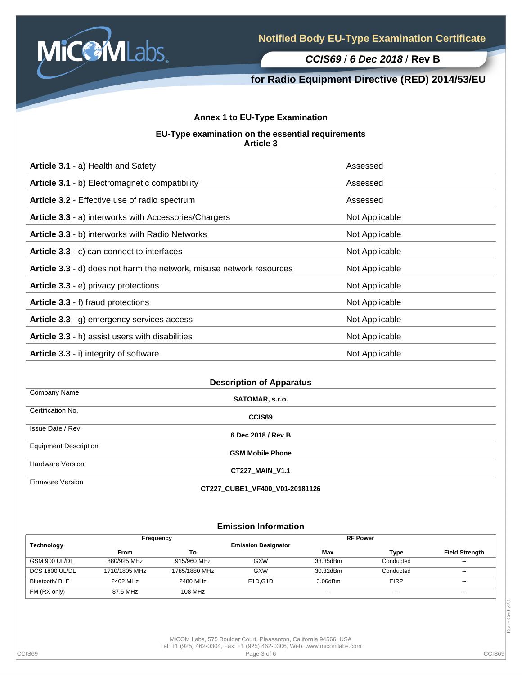

## **for Radio Equipment Directive (RED) 2014/53/EU**

## **Annex 1 to EU-Type Examination**

#### **EU-Type examination on the essential requirements Article 3**

| Article 3.1 - a) Health and Safety                                   | Assessed       |
|----------------------------------------------------------------------|----------------|
| Article 3.1 - b) Electromagnetic compatibility                       | Assessed       |
| Article 3.2 - Effective use of radio spectrum                        | Assessed       |
| Article 3.3 - a) interworks with Accessories/Chargers                | Not Applicable |
| Article 3.3 - b) interworks with Radio Networks                      | Not Applicable |
| Article 3.3 - c) can connect to interfaces                           | Not Applicable |
| Article 3.3 - d) does not harm the network, misuse network resources | Not Applicable |
| Article 3.3 - e) privacy protections                                 | Not Applicable |
| Article 3.3 - f) fraud protections                                   | Not Applicable |
| Article 3.3 - g) emergency services access                           | Not Applicable |
| Article 3.3 - h) assist users with disabilities                      | Not Applicable |
| Article 3.3 - i) integrity of software                               | Not Applicable |

| <b>Description of Apparatus</b> |                         |  |  |  |
|---------------------------------|-------------------------|--|--|--|
| Company Name                    | SATOMAR, s.r.o.         |  |  |  |
| Certification No.               | CCIS69                  |  |  |  |
| Issue Date / Rev                | 6 Dec 2018 / Rev B      |  |  |  |
| <b>Equipment Description</b>    | <b>GSM Mobile Phone</b> |  |  |  |
| <b>Hardware Version</b>         | <b>CT227 MAIN V1.1</b>  |  |  |  |
| Firmware Version                |                         |  |  |  |

**CT227\_CUBE1\_VF400\_V01-20181126**

### **Emission Information**

| Frequency         |               |               | <b>RF Power</b>                   |          |             |                          |
|-------------------|---------------|---------------|-----------------------------------|----------|-------------|--------------------------|
| <b>Technology</b> |               |               | <b>Emission Designator</b>        |          |             |                          |
|                   | From          | То            |                                   | Max.     | Type        | <b>Field Strength</b>    |
| GSM 900 UL/DL     | 880/925 MHz   | 915/960 MHz   | GXW                               | 33.35dBm | Conducted   | $\overline{\phantom{a}}$ |
| DCS 1800 UL/DL    | 1710/1805 MHz | 1785/1880 MHz | GXW                               | 30.32dBm | Conducted   | $\sim$                   |
| Bluetooth/BLE     | 2402 MHz      | 2480 MHz      | F <sub>1</sub> D.G <sub>1</sub> D | 3.06dBm  | <b>EIRP</b> | $- -$                    |
| FM (RX only)      | 87.5 MHz      | 108 MHz       |                                   | $- -$    | $- -$       | $- -$                    |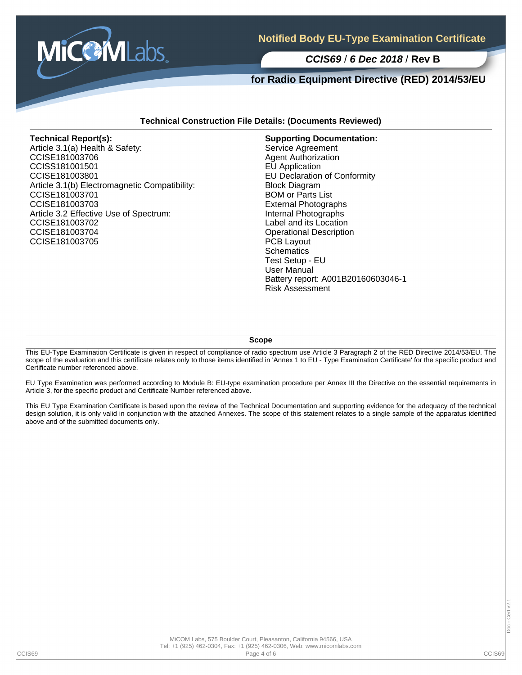

## **for Radio Equipment Directive (RED) 2014/53/EU**

#### **Technical Construction File Details: (Documents Reviewed)**

#### **Technical Report(s):**

Article 3.1(a) Health & Safety: CCISE181003706 CCISS181001501 CCISE181003801 Article 3.1(b) Electromagnetic Compatibility: CCISE181003701 CCISE181003703 Article 3.2 Effective Use of Spectrum: CCISE181003702 CCISE181003704 CCISE181003705

**Supporting Documentation:** Service Agreement Agent Authorization EU Application EU Declaration of Conformity Block Diagram BOM or Parts List External Photographs Internal Photographs Label and its Location Operational Description PCB Layout **Schematics** Test Setup - EU User Manual Battery report: A001B20160603046-1 Risk Assessment

**Scope**

This EU-Type Examination Certificate is given in respect of compliance of radio spectrum use Article 3 Paragraph 2 of the RED Directive 2014/53/EU. The scope of the evaluation and this certificate relates only to those items identified in 'Annex 1 to EU - Type Examination Certificate' for the specific product and Certificate number referenced above.

EU Type Examination was performed according to Module B: EU-type examination procedure per Annex III the Directive on the essential requirements in Article 3, for the specific product and Certificate Number referenced above.

This EU Type Examination Certificate is based upon the review of the Technical Documentation and supporting evidence for the adequacy of the technical design solution, it is only valid in conjunction with the attached Annexes. The scope of this statement relates to a single sample of the apparatus identified above and of the submitted documents only.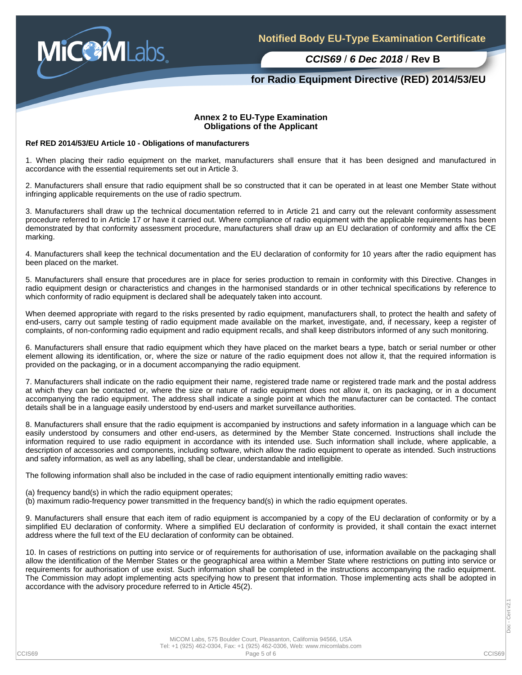

## **for Radio Equipment Directive (RED) 2014/53/EU**

#### **Annex 2 to EU-Type Examination Obligations of the Applicant**

#### **Ref RED 2014/53/EU Article 10 - Obligations of manufacturers**

1. When placing their radio equipment on the market, manufacturers shall ensure that it has been designed and manufactured in accordance with the essential requirements set out in Article 3.

2. Manufacturers shall ensure that radio equipment shall be so constructed that it can be operated in at least one Member State without infringing applicable requirements on the use of radio spectrum.

3. Manufacturers shall draw up the technical documentation referred to in Article 21 and carry out the relevant conformity assessment procedure referred to in Article 17 or have it carried out. Where compliance of radio equipment with the applicable requirements has been demonstrated by that conformity assessment procedure, manufacturers shall draw up an EU declaration of conformity and affix the CE marking.

4. Manufacturers shall keep the technical documentation and the EU declaration of conformity for 10 years after the radio equipment has been placed on the market.

5. Manufacturers shall ensure that procedures are in place for series production to remain in conformity with this Directive. Changes in radio equipment design or characteristics and changes in the harmonised standards or in other technical specifications by reference to which conformity of radio equipment is declared shall be adequately taken into account.

When deemed appropriate with regard to the risks presented by radio equipment, manufacturers shall, to protect the health and safety of end-users, carry out sample testing of radio equipment made available on the market, investigate, and, if necessary, keep a register of complaints, of non-conforming radio equipment and radio equipment recalls, and shall keep distributors informed of any such monitoring.

6. Manufacturers shall ensure that radio equipment which they have placed on the market bears a type, batch or serial number or other element allowing its identification, or, where the size or nature of the radio equipment does not allow it, that the required information is provided on the packaging, or in a document accompanying the radio equipment.

7. Manufacturers shall indicate on the radio equipment their name, registered trade name or registered trade mark and the postal address at which they can be contacted or, where the size or nature of radio equipment does not allow it, on its packaging, or in a document accompanying the radio equipment. The address shall indicate a single point at which the manufacturer can be contacted. The contact details shall be in a language easily understood by end-users and market surveillance authorities.

8. Manufacturers shall ensure that the radio equipment is accompanied by instructions and safety information in a language which can be easily understood by consumers and other end-users, as determined by the Member State concerned. Instructions shall include the information required to use radio equipment in accordance with its intended use. Such information shall include, where applicable, a description of accessories and components, including software, which allow the radio equipment to operate as intended. Such instructions and safety information, as well as any labelling, shall be clear, understandable and intelligible.

The following information shall also be included in the case of radio equipment intentionally emitting radio waves:

(a) frequency band(s) in which the radio equipment operates;

(b) maximum radio-frequency power transmitted in the frequency band(s) in which the radio equipment operates.

9. Manufacturers shall ensure that each item of radio equipment is accompanied by a copy of the EU declaration of conformity or by a simplified EU declaration of conformity. Where a simplified EU declaration of conformity is provided, it shall contain the exact internet address where the full text of the EU declaration of conformity can be obtained.

10. In cases of restrictions on putting into service or of requirements for authorisation of use, information available on the packaging shall allow the identification of the Member States or the geographical area within a Member State where restrictions on putting into service or requirements for authorisation of use exist. Such information shall be completed in the instructions accompanying the radio equipment. The Commission may adopt implementing acts specifying how to present that information. Those implementing acts shall be adopted in accordance with the advisory procedure referred to in Article 45(2).